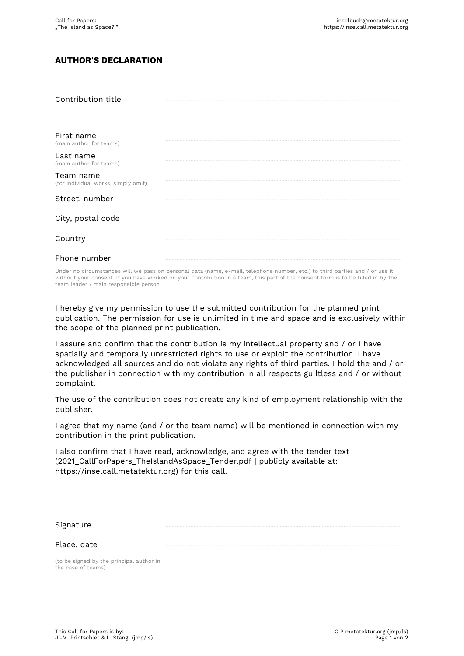## **AUTHOR'S DECLARATION**

| Contribution title                               |  |
|--------------------------------------------------|--|
| First name<br>(main author for teams)            |  |
| Last name<br>(main author for teams)             |  |
| Team name<br>(for individual works, simply omit) |  |
| Street, number                                   |  |
| City, postal code                                |  |
| Country                                          |  |
| Phone number                                     |  |

Under no circumstances will we pass on personal data (name, e-mail, telephone number, etc.) to third parties and / or use it without your consent. If you have worked on your contribution in a team, this part of the consent form is to be filled in by the team leader / main responsible person.

I hereby give my permission to use the submitted contribution for the planned print publication. The permission for use is unlimited in time and space and is exclusively within the scope of the planned print publication.

I assure and confirm that the contribution is my intellectual property and / or I have spatially and temporally unrestricted rights to use or exploit the contribution. I have acknowledged all sources and do not violate any rights of third parties. I hold the and / or the publisher in connection with my contribution in all respects guiltless and / or without complaint.

The use of the contribution does not create any kind of employment relationship with the publisher.

I agree that my name (and / or the team name) will be mentioned in connection with my contribution in the print publication.

I also confirm that I have read, acknowledge, and agree with the tender text (2021 CallForPapers TheIslandAsSpace Tender.pdf | publicly available at: https://inselcall.metatektur.org) for this call.

Signature …………………………………………………………………………………………………………………………………….

Place, date

(to be signed by the principal author in the case of teams)